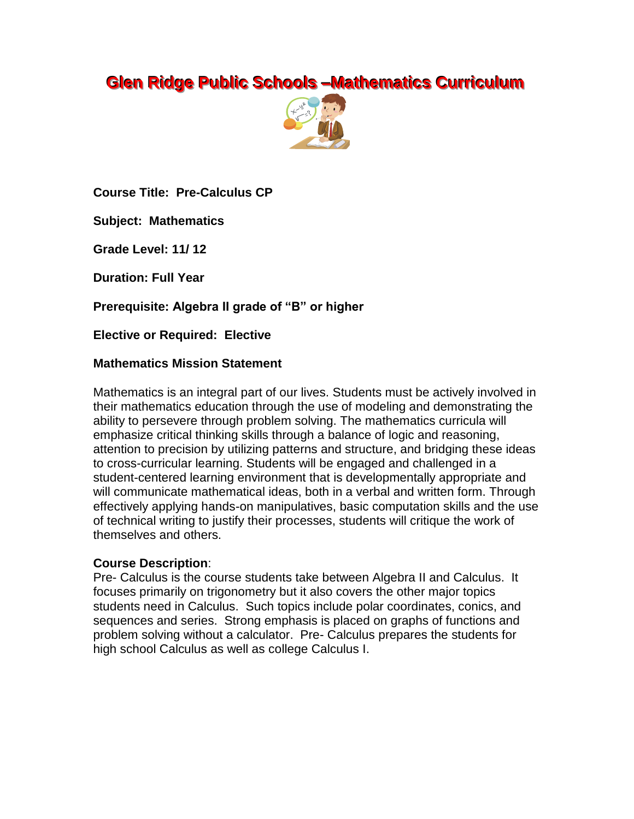# **Glen Ridge Public Schools -Mathematics Curriculum**



**Course Title: Pre-Calculus CP**

**Subject: Mathematics**

**Grade Level: 11/ 12**

**Duration: Full Year**

**Prerequisite: Algebra II grade of "B" or higher**

**Elective or Required: Elective**

## **Mathematics Mission Statement**

Mathematics is an integral part of our lives. Students must be actively involved in their mathematics education through the use of modeling and demonstrating the ability to persevere through problem solving. The mathematics curricula will emphasize critical thinking skills through a balance of logic and reasoning, attention to precision by utilizing patterns and structure, and bridging these ideas to cross-curricular learning. Students will be engaged and challenged in a student-centered learning environment that is developmentally appropriate and will communicate mathematical ideas, both in a verbal and written form. Through effectively applying hands-on manipulatives, basic computation skills and the use of technical writing to justify their processes, students will critique the work of themselves and others.

## **Course Description**:

Pre- Calculus is the course students take between Algebra II and Calculus. It focuses primarily on trigonometry but it also covers the other major topics students need in Calculus. Such topics include polar coordinates, conics, and sequences and series. Strong emphasis is placed on graphs of functions and problem solving without a calculator. Pre- Calculus prepares the students for high school Calculus as well as college Calculus I.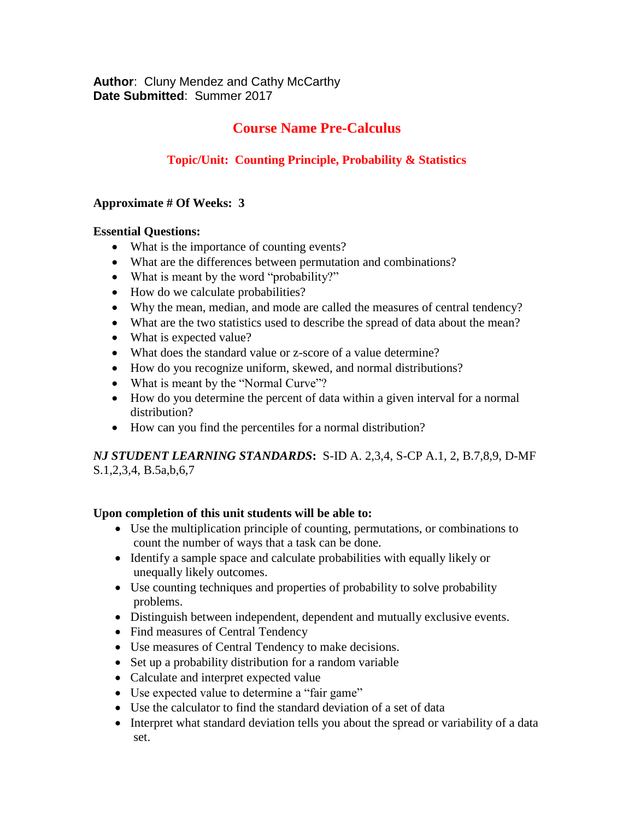**Author**: Cluny Mendez and Cathy McCarthy **Date Submitted**: Summer 2017

# **Course Name Pre-Calculus**

# **Topic/Unit: Counting Principle, Probability & Statistics**

#### **Approximate # Of Weeks: 3**

#### **Essential Questions:**

- What is the importance of counting events?
- What are the differences between permutation and combinations?
- What is meant by the word "probability?"
- How do we calculate probabilities?
- Why the mean, median, and mode are called the measures of central tendency?
- What are the two statistics used to describe the spread of data about the mean?
- What is expected value?
- What does the standard value or z-score of a value determine?
- How do you recognize uniform, skewed, and normal distributions?
- What is meant by the "Normal Curve"?
- How do you determine the percent of data within a given interval for a normal distribution?
- How can you find the percentiles for a normal distribution?

*NJ STUDENT LEARNING STANDARDS***:** S-ID A. 2,3,4, S-CP A.1, 2, B.7,8,9, D-MF S.1,2,3,4, B.5a,b,6,7

## **Upon completion of this unit students will be able to:**

- Use the multiplication principle of counting, permutations, or combinations to count the number of ways that a task can be done.
- Identify a sample space and calculate probabilities with equally likely or unequally likely outcomes.
- Use counting techniques and properties of probability to solve probability problems.
- Distinguish between independent, dependent and mutually exclusive events.
- Find measures of Central Tendency
- Use measures of Central Tendency to make decisions.
- Set up a probability distribution for a random variable
- Calculate and interpret expected value
- Use expected value to determine a "fair game"
- Use the calculator to find the standard deviation of a set of data
- Interpret what standard deviation tells you about the spread or variability of a data set.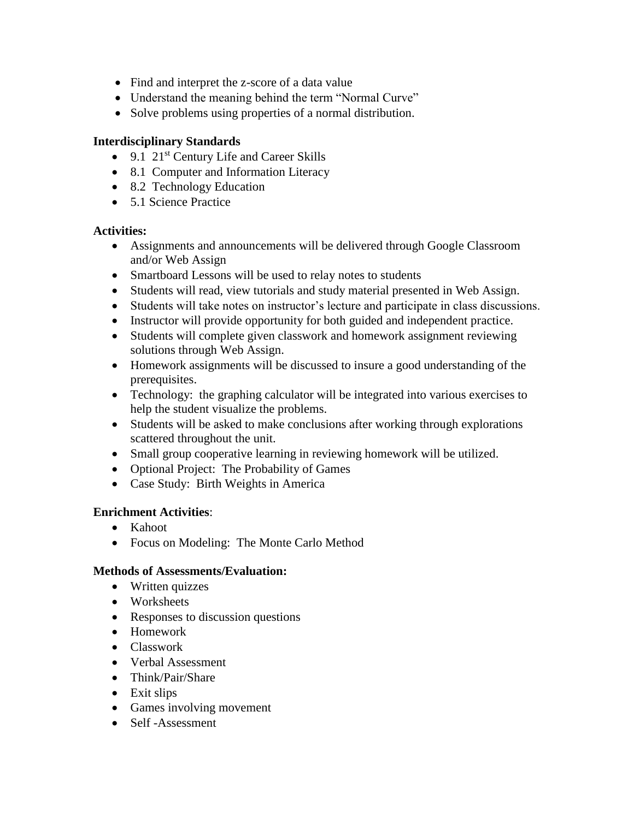- Find and interpret the z-score of a data value
- Understand the meaning behind the term "Normal Curve"
- Solve problems using properties of a normal distribution.

#### **Interdisciplinary Standards**

- 9.1 21<sup>st</sup> Century Life and Career Skills
- 8.1 Computer and Information Literacy
- 8.2 Technology Education
- 5.1 Science Practice

#### **Activities:**

- Assignments and announcements will be delivered through Google Classroom and/or Web Assign
- Smartboard Lessons will be used to relay notes to students
- Students will read, view tutorials and study material presented in Web Assign.
- Students will take notes on instructor's lecture and participate in class discussions.
- Instructor will provide opportunity for both guided and independent practice.
- Students will complete given classwork and homework assignment reviewing solutions through Web Assign.
- Homework assignments will be discussed to insure a good understanding of the prerequisites.
- Technology: the graphing calculator will be integrated into various exercises to help the student visualize the problems.
- Students will be asked to make conclusions after working through explorations scattered throughout the unit.
- Small group cooperative learning in reviewing homework will be utilized.
- Optional Project: The Probability of Games
- Case Study: Birth Weights in America

#### **Enrichment Activities**:

- Kahoot
- Focus on Modeling: The Monte Carlo Method

#### **Methods of Assessments/Evaluation:**

- Written quizzes
- Worksheets
- Responses to discussion questions
- Homework
- Classwork
- Verbal Assessment
- Think/Pair/Share
- $\bullet$  Exit slips
- Games involving movement
- Self-Assessment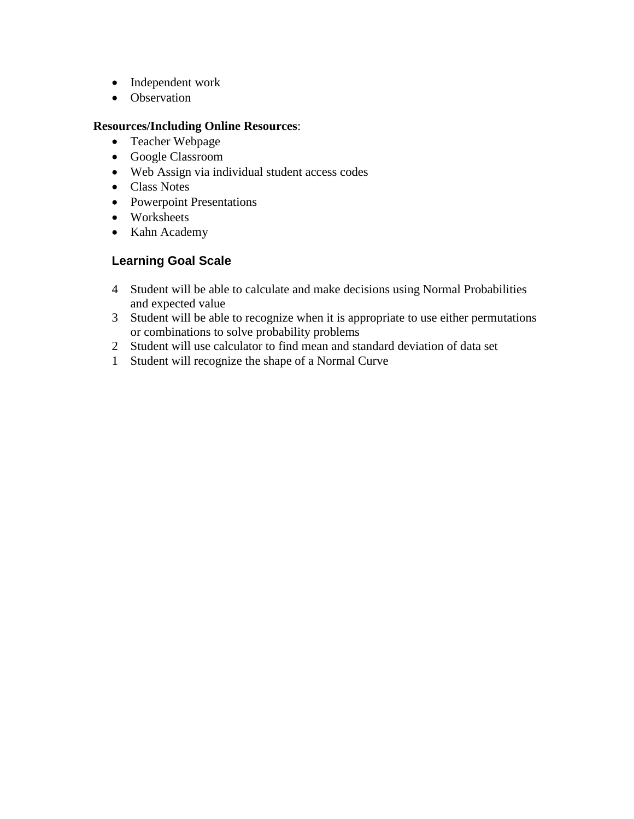- Independent work
- Observation

#### **Resources/Including Online Resources**:

- Teacher Webpage
- Google Classroom
- Web Assign via individual student access codes
- Class Notes
- Powerpoint Presentations
- Worksheets
- Kahn Academy

- 4 Student will be able to calculate and make decisions using Normal Probabilities and expected value
- 3 Student will be able to recognize when it is appropriate to use either permutations or combinations to solve probability problems
- 2 Student will use calculator to find mean and standard deviation of data set
- 1 Student will recognize the shape of a Normal Curve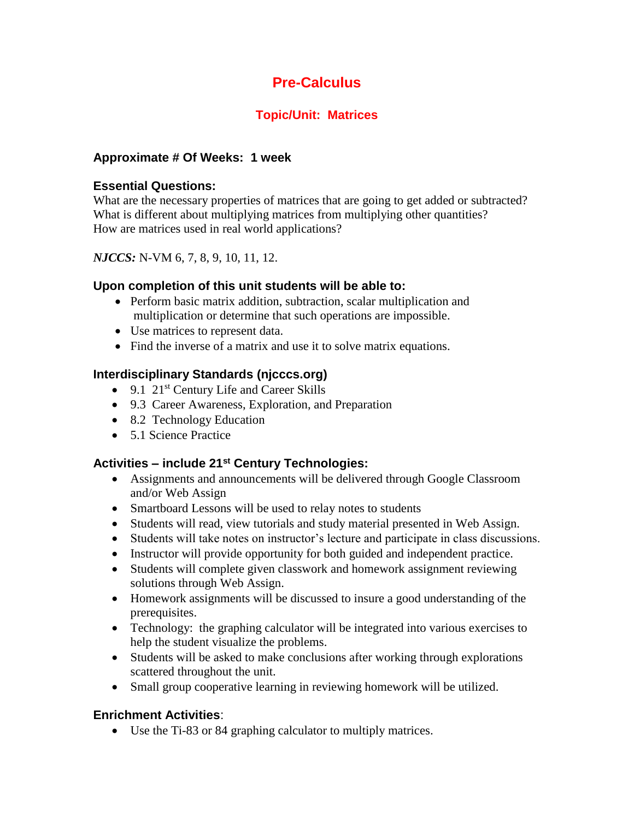# **Topic/Unit: Matrices**

## **Approximate # Of Weeks: 1 week**

## **Essential Questions:**

What are the necessary properties of matrices that are going to get added or subtracted? What is different about multiplying matrices from multiplying other quantities? How are matrices used in real world applications?

## *NJCCS:* N-VM 6, 7, 8, 9, 10, 11, 12.

## **Upon completion of this unit students will be able to:**

- Perform basic matrix addition, subtraction, scalar multiplication and multiplication or determine that such operations are impossible.
- Use matrices to represent data.
- Find the inverse of a matrix and use it to solve matrix equations.

## **Interdisciplinary Standards (njcccs.org)**

- $\bullet$  9.1 21<sup>st</sup> Century Life and Career Skills
- 9.3 Career Awareness, Exploration, and Preparation
- 8.2 Technology Education
- 5.1 Science Practice

# **Activities – include 21st Century Technologies:**

- Assignments and announcements will be delivered through Google Classroom and/or Web Assign
- Smartboard Lessons will be used to relay notes to students
- Students will read, view tutorials and study material presented in Web Assign.
- Students will take notes on instructor's lecture and participate in class discussions.
- Instructor will provide opportunity for both guided and independent practice.
- Students will complete given classwork and homework assignment reviewing solutions through Web Assign.
- Homework assignments will be discussed to insure a good understanding of the prerequisites.
- Technology: the graphing calculator will be integrated into various exercises to help the student visualize the problems.
- Students will be asked to make conclusions after working through explorations scattered throughout the unit.
- Small group cooperative learning in reviewing homework will be utilized.

## **Enrichment Activities**:

Use the Ti-83 or 84 graphing calculator to multiply matrices.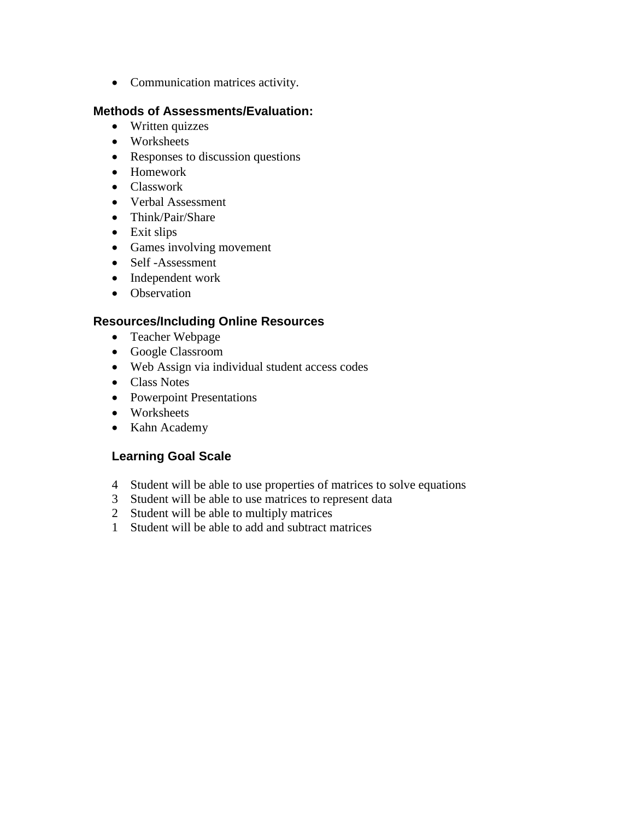Communication matrices activity.

## **Methods of Assessments/Evaluation:**

- Written quizzes
- Worksheets
- Responses to discussion questions
- Homework
- Classwork
- Verbal Assessment
- Think/Pair/Share
- Exit slips
- Games involving movement
- Self-Assessment
- Independent work
- Observation

## **Resources/Including Online Resources**

- Teacher Webpage
- Google Classroom
- Web Assign via individual student access codes
- Class Notes
- Powerpoint Presentations
- Worksheets
- Kahn Academy

- 4 Student will be able to use properties of matrices to solve equations
- 3 Student will be able to use matrices to represent data
- 2 Student will be able to multiply matrices
- 1 Student will be able to add and subtract matrices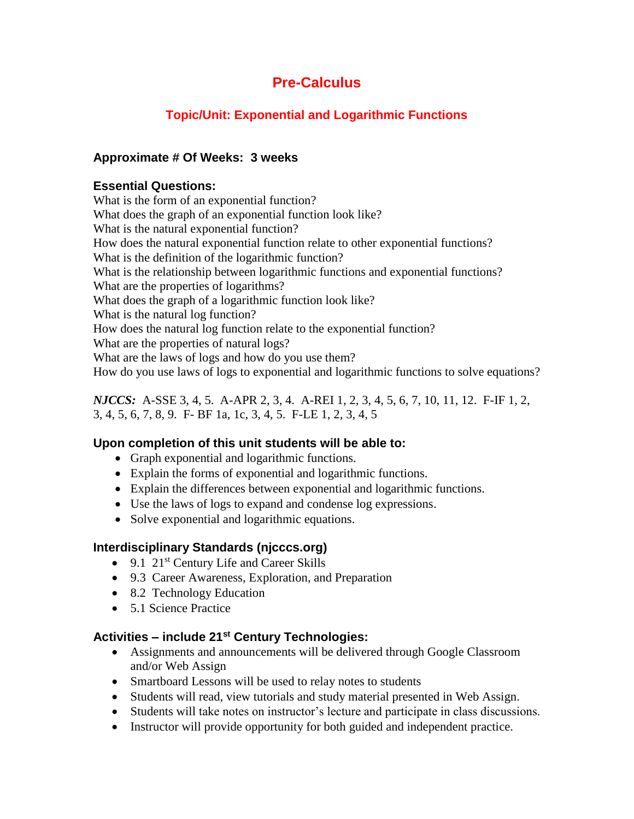# **Topic/Unit: Exponential and Logarithmic Functions**

## **Approximate # Of Weeks: 3 weeks**

## **Essential Questions:**

What is the form of an exponential function? What does the graph of an exponential function look like? What is the natural exponential function? How does the natural exponential function relate to other exponential functions? What is the definition of the logarithmic function? What is the relationship between logarithmic functions and exponential functions? What are the properties of logarithms? What does the graph of a logarithmic function look like? What is the natural log function? How does the natural log function relate to the exponential function? What are the properties of natural logs? What are the laws of logs and how do you use them? How do you use laws of logs to exponential and logarithmic functions to solve equations?

*NJCCS:* A-SSE 3, 4, 5. A-APR 2, 3, 4. A-REI 1, 2, 3, 4, 5, 6, 7, 10, 11, 12. F-IF 1, 2, 3, 4, 5, 6, 7, 8, 9. F- BF 1a, 1c, 3, 4, 5. F-LE 1, 2, 3, 4, 5

## **Upon completion of this unit students will be able to:**

- Graph exponential and logarithmic functions.
- Explain the forms of exponential and logarithmic functions.
- Explain the differences between exponential and logarithmic functions.
- Use the laws of logs to expand and condense log expressions.
- Solve exponential and logarithmic equations.

## **Interdisciplinary Standards (njcccs.org)**

- $\bullet$  9.1 21<sup>st</sup> Century Life and Career Skills
- 9.3 Career Awareness, Exploration, and Preparation
- 8.2 Technology Education
- 5.1 Science Practice

- Assignments and announcements will be delivered through Google Classroom and/or Web Assign
- Smartboard Lessons will be used to relay notes to students
- Students will read, view tutorials and study material presented in Web Assign.
- Students will take notes on instructor's lecture and participate in class discussions.
- Instructor will provide opportunity for both guided and independent practice.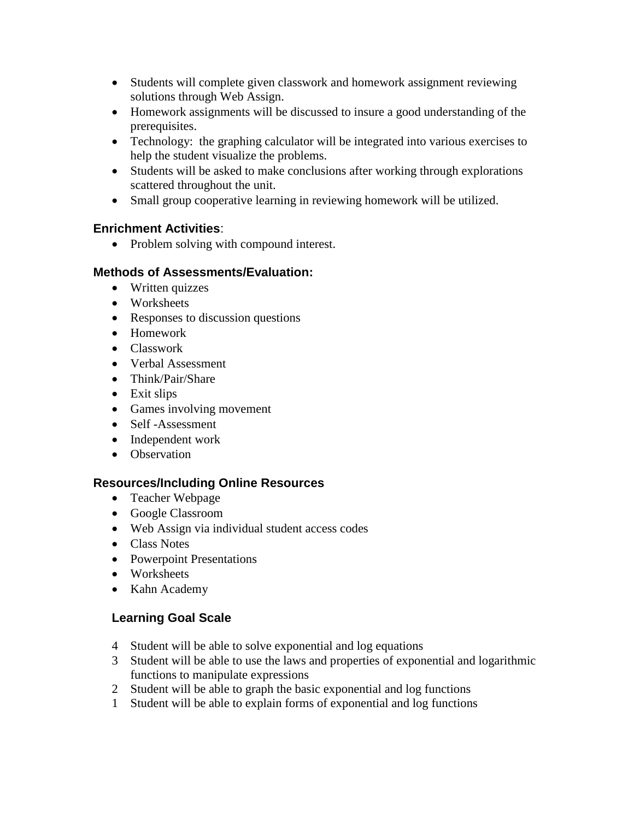- Students will complete given classwork and homework assignment reviewing solutions through Web Assign.
- Homework assignments will be discussed to insure a good understanding of the prerequisites.
- Technology: the graphing calculator will be integrated into various exercises to help the student visualize the problems.
- Students will be asked to make conclusions after working through explorations scattered throughout the unit.
- Small group cooperative learning in reviewing homework will be utilized.

• Problem solving with compound interest.

# **Methods of Assessments/Evaluation:**

- Written quizzes
- Worksheets
- Responses to discussion questions
- Homework
- Classwork
- Verbal Assessment
- Think/Pair/Share
- Exit slips
- Games involving movement
- Self-Assessment
- Independent work
- Observation

# **Resources/Including Online Resources**

- Teacher Webpage
- Google Classroom
- Web Assign via individual student access codes
- Class Notes
- Powerpoint Presentations
- Worksheets
- Kahn Academy

- 4 Student will be able to solve exponential and log equations
- 3 Student will be able to use the laws and properties of exponential and logarithmic functions to manipulate expressions
- 2 Student will be able to graph the basic exponential and log functions
- 1 Student will be able to explain forms of exponential and log functions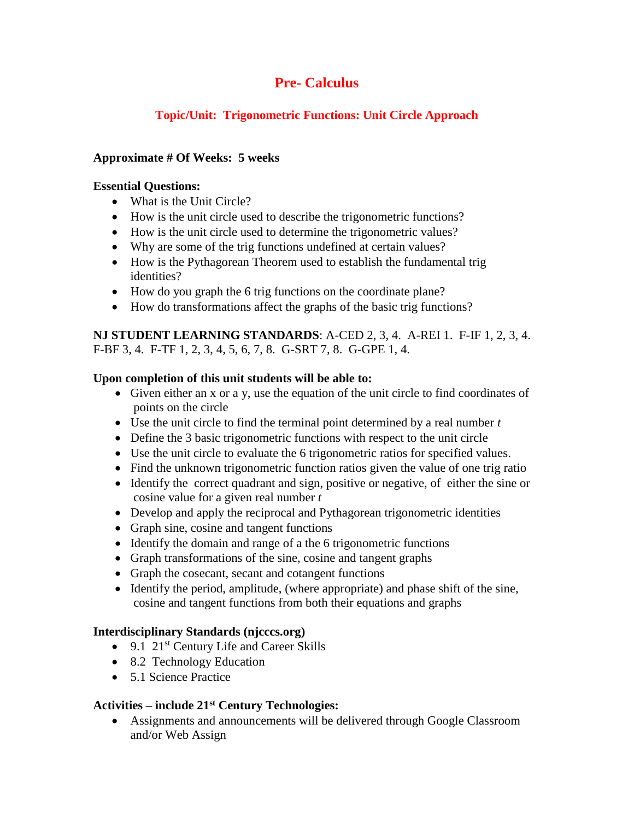# **Topic/Unit: Trigonometric Functions: Unit Circle Approach**

## **Approximate # Of Weeks: 5 weeks**

## **Essential Questions:**

- What is the Unit Circle?
- How is the unit circle used to describe the trigonometric functions?
- How is the unit circle used to determine the trigonometric values?
- Why are some of the trig functions undefined at certain values?
- How is the Pythagorean Theorem used to establish the fundamental trig identities?
- How do you graph the 6 trig functions on the coordinate plane?
- How do transformations affect the graphs of the basic trig functions?

**NJ STUDENT LEARNING STANDARDS**: A-CED 2, 3, 4. A-REI 1. F-IF 1, 2, 3, 4. F-BF 3, 4. F-TF 1, 2, 3, 4, 5, 6, 7, 8. G-SRT 7, 8. G-GPE 1, 4.

# **Upon completion of this unit students will be able to:**

- Given either an x or a y, use the equation of the unit circle to find coordinates of points on the circle
- Use the unit circle to find the terminal point determined by a real number *t*
- Define the 3 basic trigonometric functions with respect to the unit circle
- Use the unit circle to evaluate the 6 trigonometric ratios for specified values.
- Find the unknown trigonometric function ratios given the value of one trig ratio
- Identify the correct quadrant and sign, positive or negative, of either the sine or cosine value for a given real number *t*
- Develop and apply the reciprocal and Pythagorean trigonometric identities
- Graph sine, cosine and tangent functions
- Identify the domain and range of a the 6 trigonometric functions
- Graph transformations of the sine, cosine and tangent graphs
- Graph the cosecant, secant and cotangent functions
- Identify the period, amplitude, (where appropriate) and phase shift of the sine, cosine and tangent functions from both their equations and graphs

# **Interdisciplinary Standards (njcccs.org)**

- 9.1 21<sup>st</sup> Century Life and Career Skills
- 8.2 Technology Education
- 5.1 Science Practice

# **Activities – include 21st Century Technologies:**

 Assignments and announcements will be delivered through Google Classroom and/or Web Assign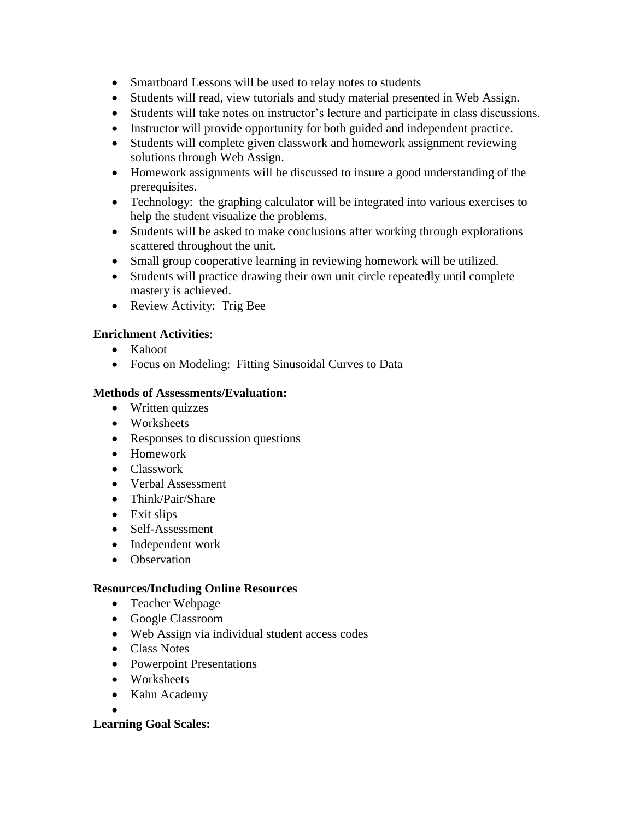- Smartboard Lessons will be used to relay notes to students
- Students will read, view tutorials and study material presented in Web Assign.
- Students will take notes on instructor's lecture and participate in class discussions.
- Instructor will provide opportunity for both guided and independent practice.
- Students will complete given classwork and homework assignment reviewing solutions through Web Assign.
- Homework assignments will be discussed to insure a good understanding of the prerequisites.
- Technology: the graphing calculator will be integrated into various exercises to help the student visualize the problems.
- Students will be asked to make conclusions after working through explorations scattered throughout the unit.
- Small group cooperative learning in reviewing homework will be utilized.
- Students will practice drawing their own unit circle repeatedly until complete mastery is achieved.
- Review Activity: Trig Bee

- Kahoot
- Focus on Modeling: Fitting Sinusoidal Curves to Data

## **Methods of Assessments/Evaluation:**

- Written quizzes
- Worksheets
- Responses to discussion questions
- Homework
- Classwork
- Verbal Assessment
- Think/Pair/Share
- $\bullet$  Exit slips
- Self-Assessment
- Independent work
- Observation

## **Resources/Including Online Resources**

- Teacher Webpage
- Google Classroom
- Web Assign via individual student access codes
- Class Notes
- Powerpoint Presentations
- Worksheets
- Kahn Academy
- $\bullet$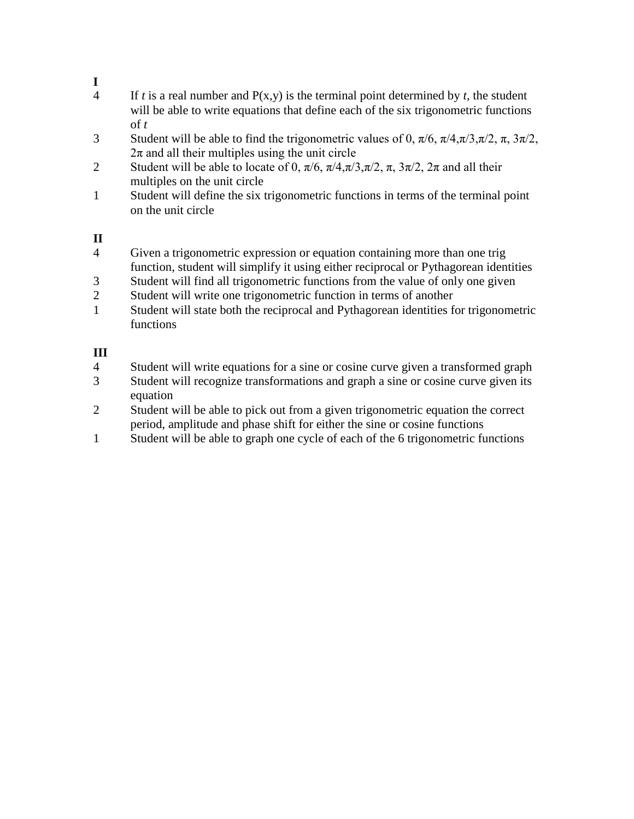# **I**

- 4 If *t* is a real number and  $P(x,y)$  is the terminal point determined by *t*, the student will be able to write equations that define each of the six trigonometric functions of *t*
- 3 Student will be able to find the trigonometric values of 0,  $\pi/6$ ,  $\pi/4$ ,  $\pi/3$ ,  $\pi/2$ ,  $\pi$ ,  $3\pi/2$ ,  $2\pi$  and all their multiples using the unit circle
- 2 Student will be able to locate of 0,  $\pi/6$ ,  $\pi/4$ ,  $\pi/3$ ,  $\pi/2$ ,  $\pi$ ,  $3\pi/2$ ,  $2\pi$  and all their multiples on the unit circle
- 1 Student will define the six trigonometric functions in terms of the terminal point on the unit circle

# **II**

- 4 Given a trigonometric expression or equation containing more than one trig function, student will simplify it using either reciprocal or Pythagorean identities
- 3 Student will find all trigonometric functions from the value of only one given
- 2 Student will write one trigonometric function in terms of another
- 1 Student will state both the reciprocal and Pythagorean identities for trigonometric functions

# **III**

- 4 Student will write equations for a sine or cosine curve given a transformed graph
- 3 Student will recognize transformations and graph a sine or cosine curve given its equation
- 2 Student will be able to pick out from a given trigonometric equation the correct period, amplitude and phase shift for either the sine or cosine functions
- 1 Student will be able to graph one cycle of each of the 6 trigonometric functions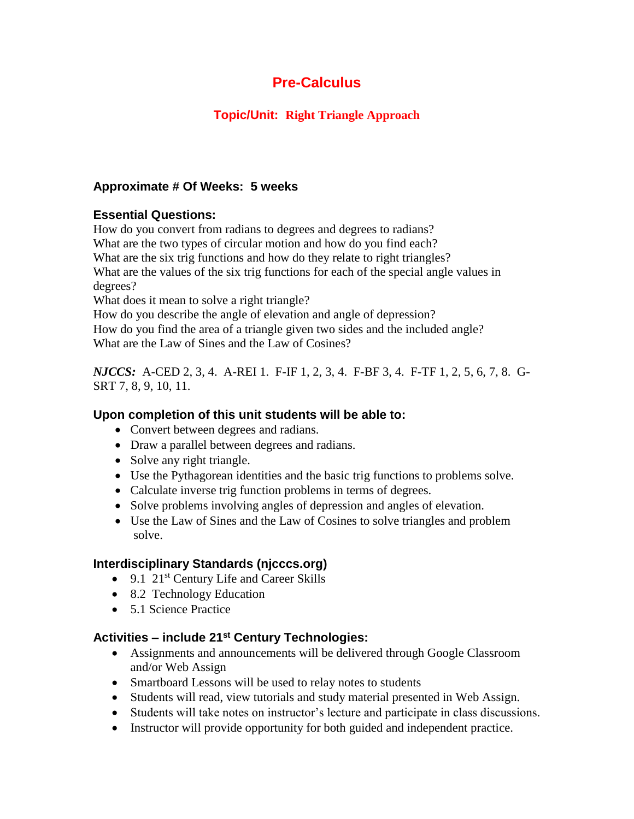# **Topic/Unit: Right Triangle Approach**

## **Approximate # Of Weeks: 5 weeks**

## **Essential Questions:**

How do you convert from radians to degrees and degrees to radians? What are the two types of circular motion and how do you find each? What are the six trig functions and how do they relate to right triangles? What are the values of the six trig functions for each of the special angle values in degrees?

What does it mean to solve a right triangle?

How do you describe the angle of elevation and angle of depression? How do you find the area of a triangle given two sides and the included angle? What are the Law of Sines and the Law of Cosines?

*NJCCS:* A-CED 2, 3, 4. A-REI 1. F-IF 1, 2, 3, 4. F-BF 3, 4. F-TF 1, 2, 5, 6, 7, 8. G-SRT 7, 8, 9, 10, 11.

## **Upon completion of this unit students will be able to:**

- Convert between degrees and radians.
- Draw a parallel between degrees and radians.
- Solve any right triangle.
- Use the Pythagorean identities and the basic trig functions to problems solve.
- Calculate inverse trig function problems in terms of degrees.
- Solve problems involving angles of depression and angles of elevation.
- Use the Law of Sines and the Law of Cosines to solve triangles and problem solve.

# **Interdisciplinary Standards (njcccs.org)**

- $\bullet$  9.1 21<sup>st</sup> Century Life and Career Skills
- 8.2 Technology Education
- 5.1 Science Practice

- Assignments and announcements will be delivered through Google Classroom and/or Web Assign
- Smartboard Lessons will be used to relay notes to students
- Students will read, view tutorials and study material presented in Web Assign.
- Students will take notes on instructor's lecture and participate in class discussions.
- Instructor will provide opportunity for both guided and independent practice.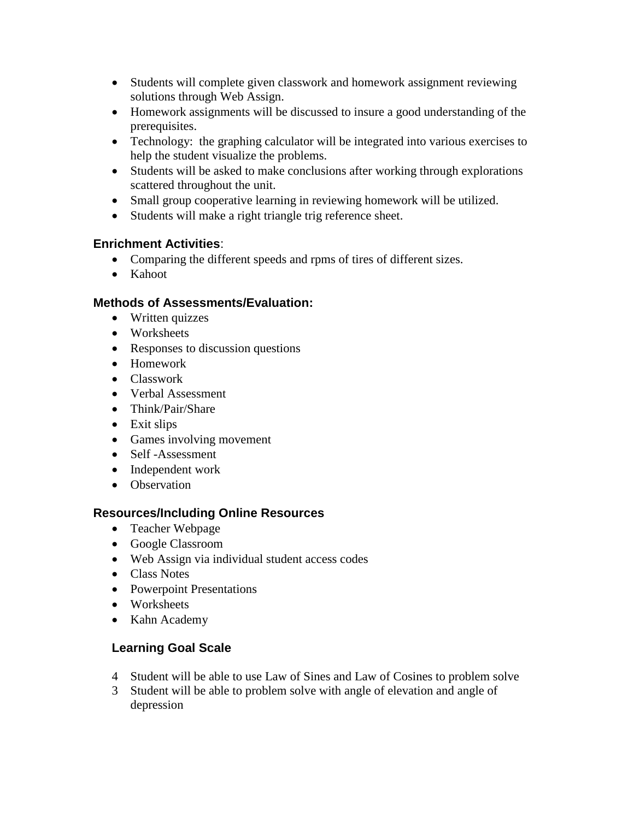- Students will complete given classwork and homework assignment reviewing solutions through Web Assign.
- Homework assignments will be discussed to insure a good understanding of the prerequisites.
- Technology: the graphing calculator will be integrated into various exercises to help the student visualize the problems.
- Students will be asked to make conclusions after working through explorations scattered throughout the unit.
- Small group cooperative learning in reviewing homework will be utilized.
- Students will make a right triangle trig reference sheet.

- Comparing the different speeds and rpms of tires of different sizes.
- Kahoot

## **Methods of Assessments/Evaluation:**

- Written quizzes
- Worksheets
- Responses to discussion questions
- Homework
- Classwork
- Verbal Assessment
- Think/Pair/Share
- Exit slips
- Games involving movement
- Self-Assessment
- Independent work
- Observation

## **Resources/Including Online Resources**

- Teacher Webpage
- Google Classroom
- Web Assign via individual student access codes
- Class Notes
- Powerpoint Presentations
- Worksheets
- Kahn Academy

- 4 Student will be able to use Law of Sines and Law of Cosines to problem solve
- 3 Student will be able to problem solve with angle of elevation and angle of depression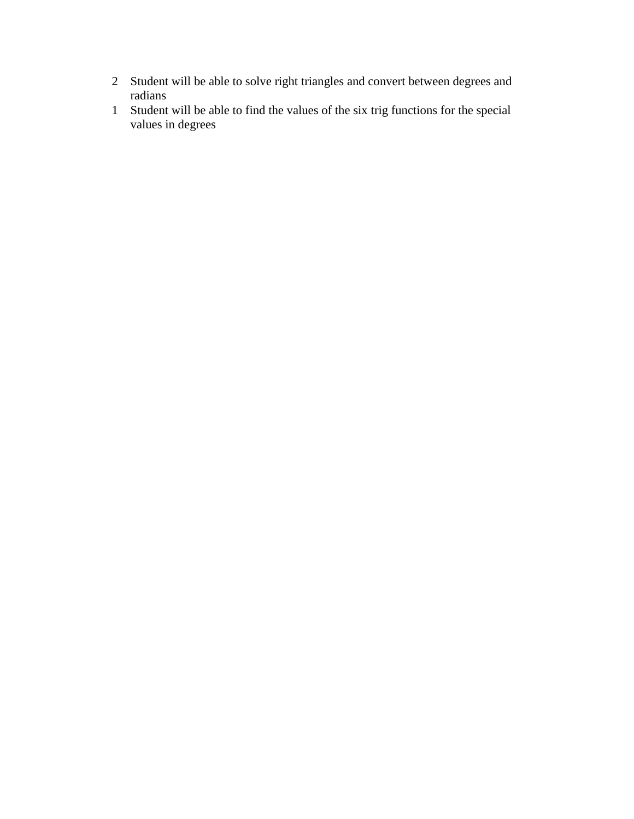- 2 Student will be able to solve right triangles and convert between degrees and radians
- 1 Student will be able to find the values of the six trig functions for the special values in degrees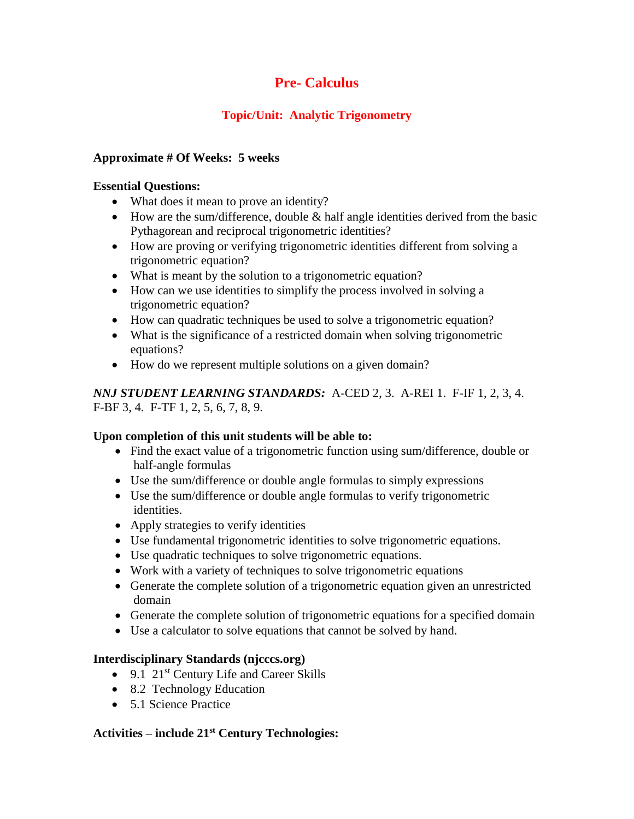# **Topic/Unit: Analytic Trigonometry**

## **Approximate # Of Weeks: 5 weeks**

## **Essential Questions:**

- What does it mean to prove an identity?
- $\bullet$  How are the sum/difference, double & half angle identities derived from the basic Pythagorean and reciprocal trigonometric identities?
- How are proving or verifying trigonometric identities different from solving a trigonometric equation?
- What is meant by the solution to a trigonometric equation?
- How can we use identities to simplify the process involved in solving a trigonometric equation?
- How can quadratic techniques be used to solve a trigonometric equation?
- What is the significance of a restricted domain when solving trigonometric equations?
- How do we represent multiple solutions on a given domain?

*NNJ STUDENT LEARNING STANDARDS:* A-CED 2, 3. A-REI 1. F-IF 1, 2, 3, 4. F-BF 3, 4. F-TF 1, 2, 5, 6, 7, 8, 9.

## **Upon completion of this unit students will be able to:**

- Find the exact value of a trigonometric function using sum/difference, double or half-angle formulas
- Use the sum/difference or double angle formulas to simply expressions
- Use the sum/difference or double angle formulas to verify trigonometric identities.
- Apply strategies to verify identities
- Use fundamental trigonometric identities to solve trigonometric equations.
- Use quadratic techniques to solve trigonometric equations.
- Work with a variety of techniques to solve trigonometric equations
- Generate the complete solution of a trigonometric equation given an unrestricted domain
- Generate the complete solution of trigonometric equations for a specified domain
- Use a calculator to solve equations that cannot be solved by hand.

# **Interdisciplinary Standards (njcccs.org)**

- $\bullet$  9.1 21<sup>st</sup> Century Life and Career Skills
- 8.2 Technology Education
- 5.1 Science Practice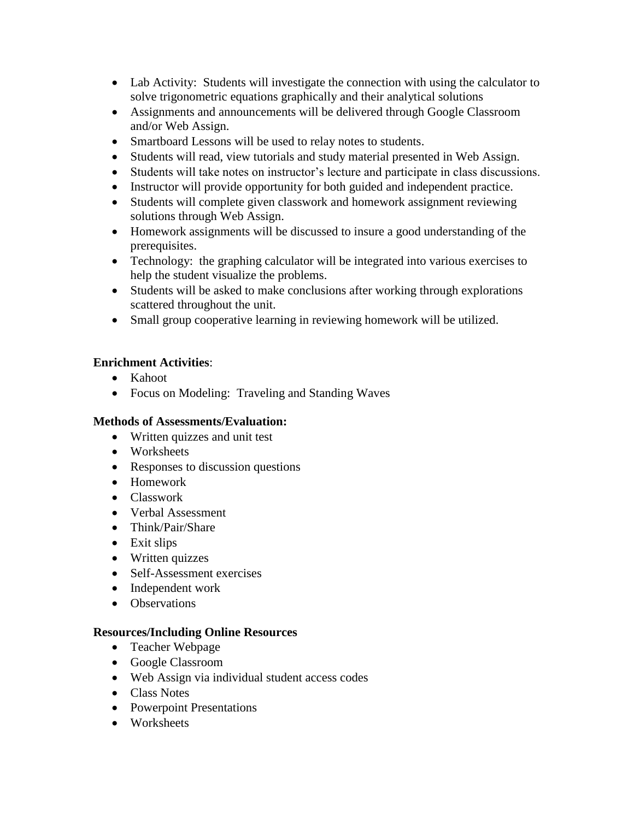- Lab Activity: Students will investigate the connection with using the calculator to solve trigonometric equations graphically and their analytical solutions
- Assignments and announcements will be delivered through Google Classroom and/or Web Assign.
- Smartboard Lessons will be used to relay notes to students.
- Students will read, view tutorials and study material presented in Web Assign.
- Students will take notes on instructor's lecture and participate in class discussions.
- Instructor will provide opportunity for both guided and independent practice.
- Students will complete given classwork and homework assignment reviewing solutions through Web Assign.
- Homework assignments will be discussed to insure a good understanding of the prerequisites.
- Technology: the graphing calculator will be integrated into various exercises to help the student visualize the problems.
- Students will be asked to make conclusions after working through explorations scattered throughout the unit.
- Small group cooperative learning in reviewing homework will be utilized.

- Kahoot
- Focus on Modeling: Traveling and Standing Waves

## **Methods of Assessments/Evaluation:**

- Written quizzes and unit test
- Worksheets
- Responses to discussion questions
- Homework
- Classwork
- Verbal Assessment
- Think/Pair/Share
- Exit slips
- Written quizzes
- Self-Assessment exercises
- Independent work
- Observations

## **Resources/Including Online Resources**

- Teacher Webpage
- Google Classroom
- Web Assign via individual student access codes
- Class Notes
- Powerpoint Presentations
- Worksheets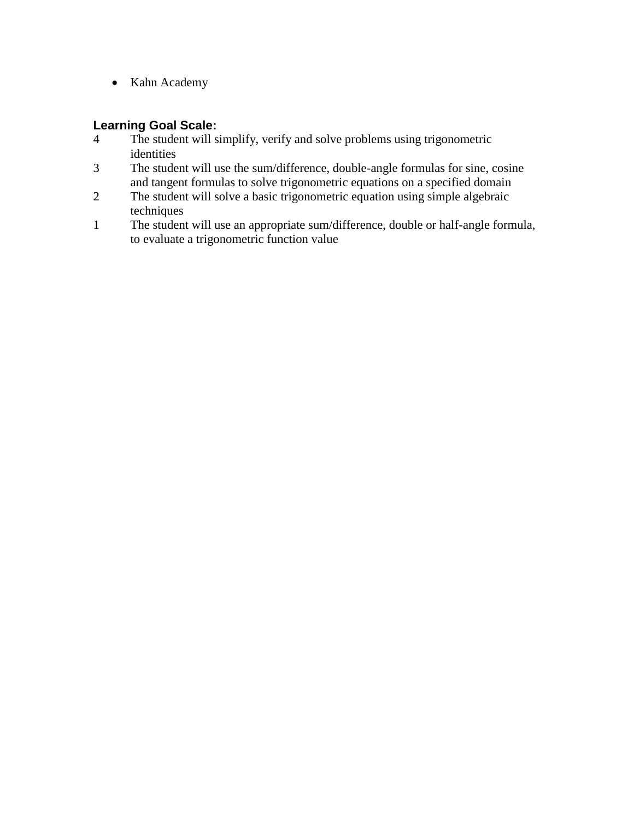• Kahn Academy

- 4 The student will simplify, verify and solve problems using trigonometric identities
- 3 The student will use the sum/difference, double-angle formulas for sine, cosine and tangent formulas to solve trigonometric equations on a specified domain
- 2 The student will solve a basic trigonometric equation using simple algebraic techniques
- 1 The student will use an appropriate sum/difference, double or half-angle formula, to evaluate a trigonometric function value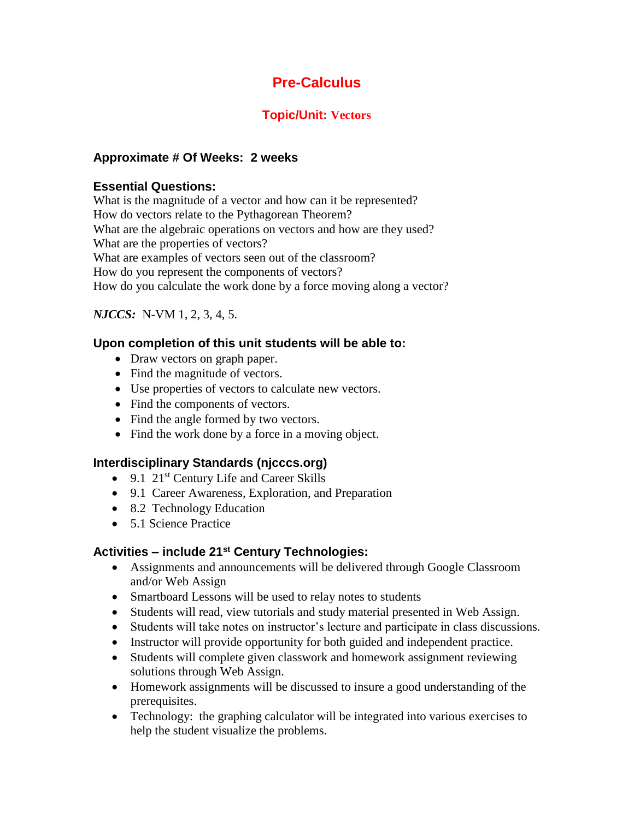# **Topic/Unit: Vectors**

## **Approximate # Of Weeks: 2 weeks**

## **Essential Questions:**

What is the magnitude of a vector and how can it be represented? How do vectors relate to the Pythagorean Theorem? What are the algebraic operations on vectors and how are they used? What are the properties of vectors? What are examples of vectors seen out of the classroom? How do you represent the components of vectors? How do you calculate the work done by a force moving along a vector?

## *NJCCS:* N-VM 1, 2, 3, 4, 5.

## **Upon completion of this unit students will be able to:**

- Draw vectors on graph paper.
- Find the magnitude of vectors.
- Use properties of vectors to calculate new vectors.
- Find the components of vectors.
- Find the angle formed by two vectors.
- Find the work done by a force in a moving object.

# **Interdisciplinary Standards (njcccs.org)**

- $\bullet$  9.1 21<sup>st</sup> Century Life and Career Skills
- 9.1 Career Awareness, Exploration, and Preparation
- 8.2 Technology Education
- 5.1 Science Practice

- Assignments and announcements will be delivered through Google Classroom and/or Web Assign
- Smartboard Lessons will be used to relay notes to students
- Students will read, view tutorials and study material presented in Web Assign.
- Students will take notes on instructor's lecture and participate in class discussions.
- Instructor will provide opportunity for both guided and independent practice.
- Students will complete given classwork and homework assignment reviewing solutions through Web Assign.
- Homework assignments will be discussed to insure a good understanding of the prerequisites.
- Technology: the graphing calculator will be integrated into various exercises to help the student visualize the problems.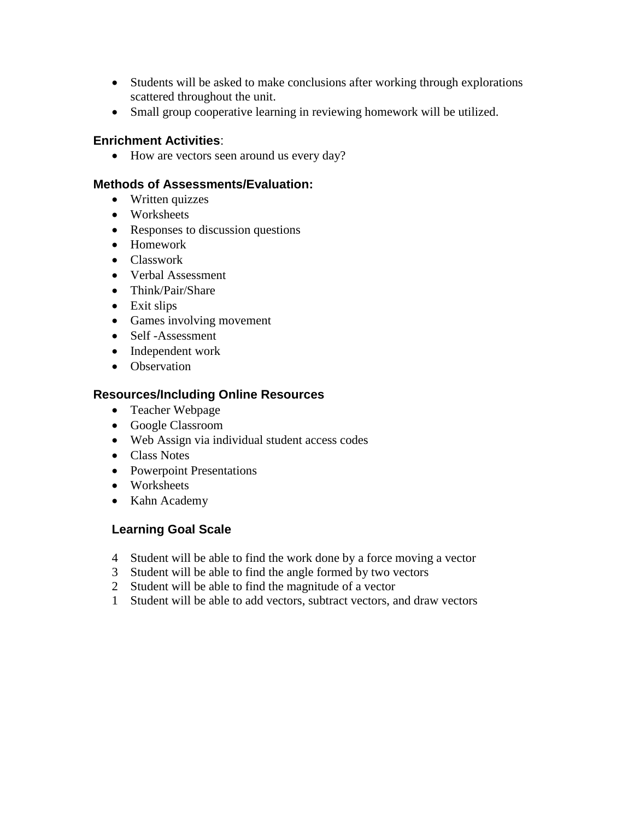- Students will be asked to make conclusions after working through explorations scattered throughout the unit.
- Small group cooperative learning in reviewing homework will be utilized.

• How are vectors seen around us every day?

#### **Methods of Assessments/Evaluation:**

- Written quizzes
- Worksheets
- Responses to discussion questions
- Homework
- Classwork
- Verbal Assessment
- Think/Pair/Share
- Exit slips
- Games involving movement
- Self-Assessment
- Independent work
- Observation

#### **Resources/Including Online Resources**

- Teacher Webpage
- Google Classroom
- Web Assign via individual student access codes
- Class Notes
- Powerpoint Presentations
- Worksheets
- Kahn Academy

- 4 Student will be able to find the work done by a force moving a vector
- 3 Student will be able to find the angle formed by two vectors
- 2 Student will be able to find the magnitude of a vector
- 1 Student will be able to add vectors, subtract vectors, and draw vectors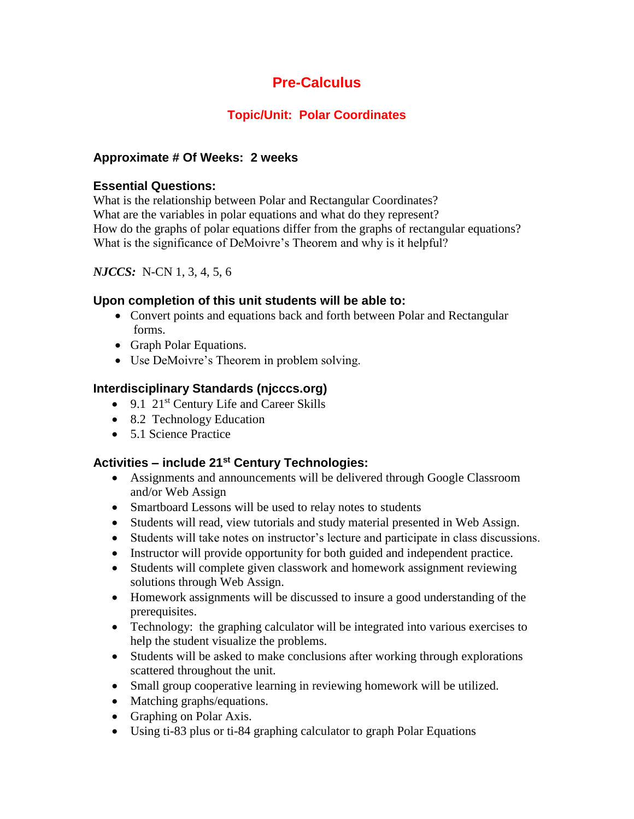# **Topic/Unit: Polar Coordinates**

## **Approximate # Of Weeks: 2 weeks**

## **Essential Questions:**

What is the relationship between Polar and Rectangular Coordinates? What are the variables in polar equations and what do they represent? How do the graphs of polar equations differ from the graphs of rectangular equations? What is the significance of DeMoivre's Theorem and why is it helpful?

## *NJCCS:* N-CN 1, 3, 4, 5, 6

## **Upon completion of this unit students will be able to:**

- Convert points and equations back and forth between Polar and Rectangular forms.
- Graph Polar Equations.
- Use DeMoivre's Theorem in problem solving.

# **Interdisciplinary Standards (njcccs.org)**

- $\bullet$  9.1 21<sup>st</sup> Century Life and Career Skills
- 8.2 Technology Education
- 5.1 Science Practice

- Assignments and announcements will be delivered through Google Classroom and/or Web Assign
- Smartboard Lessons will be used to relay notes to students
- Students will read, view tutorials and study material presented in Web Assign.
- Students will take notes on instructor's lecture and participate in class discussions.
- Instructor will provide opportunity for both guided and independent practice.
- Students will complete given classwork and homework assignment reviewing solutions through Web Assign.
- Homework assignments will be discussed to insure a good understanding of the prerequisites.
- Technology: the graphing calculator will be integrated into various exercises to help the student visualize the problems.
- Students will be asked to make conclusions after working through explorations scattered throughout the unit.
- Small group cooperative learning in reviewing homework will be utilized.
- Matching graphs/equations.
- Graphing on Polar Axis.
- Using ti-83 plus or ti-84 graphing calculator to graph Polar Equations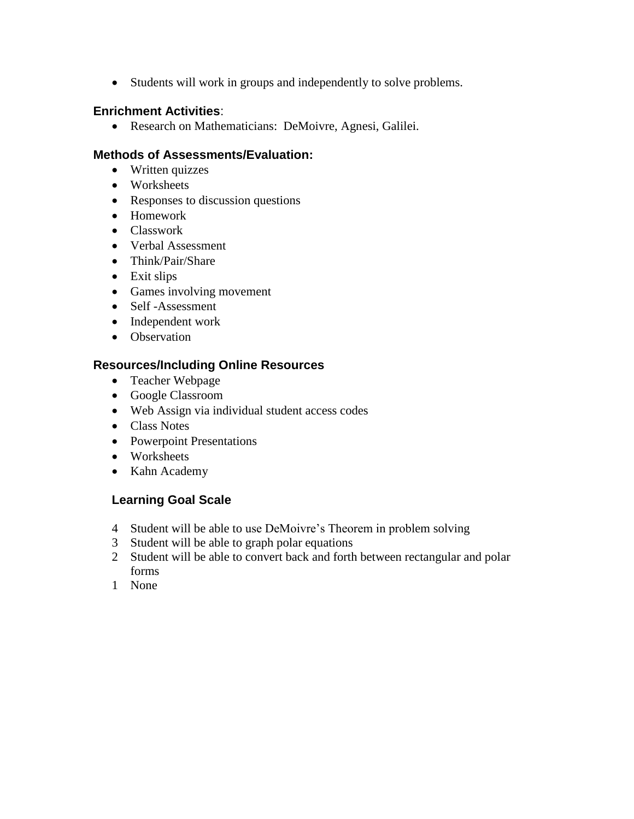Students will work in groups and independently to solve problems.

#### **Enrichment Activities**:

Research on Mathematicians: DeMoivre, Agnesi, Galilei.

#### **Methods of Assessments/Evaluation:**

- Written quizzes
- Worksheets
- Responses to discussion questions
- Homework
- Classwork
- Verbal Assessment
- Think/Pair/Share
- Exit slips
- Games involving movement
- Self-Assessment
- Independent work
- Observation

## **Resources/Including Online Resources**

- Teacher Webpage
- Google Classroom
- Web Assign via individual student access codes
- Class Notes
- Powerpoint Presentations
- Worksheets
- Kahn Academy

- 4 Student will be able to use DeMoivre's Theorem in problem solving
- 3 Student will be able to graph polar equations
- 2 Student will be able to convert back and forth between rectangular and polar forms
- 1 None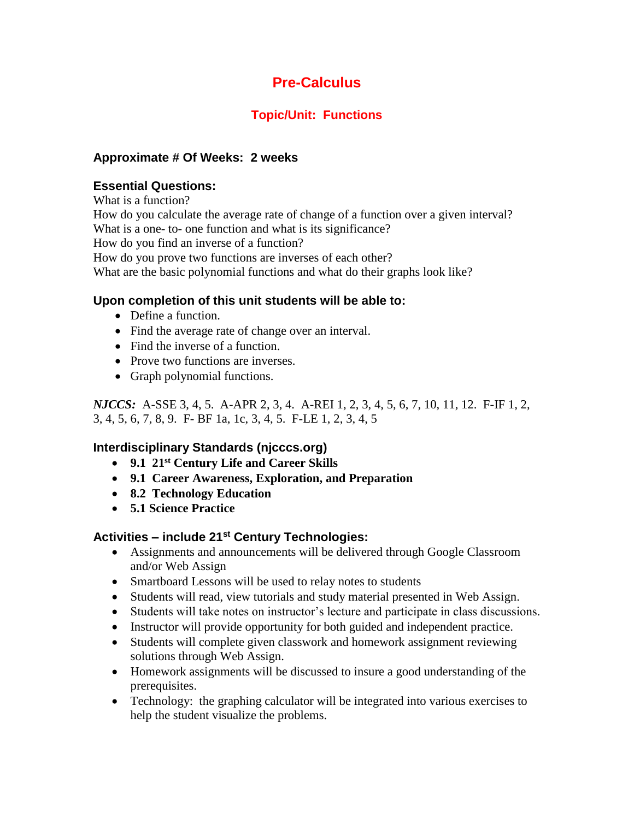# **Topic/Unit: Functions**

# **Approximate # Of Weeks: 2 weeks**

## **Essential Questions:**

What is a function? How do you calculate the average rate of change of a function over a given interval? What is a one- to- one function and what is its significance? How do you find an inverse of a function? How do you prove two functions are inverses of each other? What are the basic polynomial functions and what do their graphs look like?

## **Upon completion of this unit students will be able to:**

- Define a function.
- Find the average rate of change over an interval.
- Find the inverse of a function.
- Prove two functions are inverses.
- Graph polynomial functions.

*NJCCS:* A-SSE 3, 4, 5. A-APR 2, 3, 4. A-REI 1, 2, 3, 4, 5, 6, 7, 10, 11, 12. F-IF 1, 2, 3, 4, 5, 6, 7, 8, 9. F- BF 1a, 1c, 3, 4, 5. F-LE 1, 2, 3, 4, 5

# **Interdisciplinary Standards (njcccs.org)**

- **9.1 21st Century Life and Career Skills**
- **9.1 Career Awareness, Exploration, and Preparation**
- **8.2 Technology Education**
- **5.1 Science Practice**

- Assignments and announcements will be delivered through Google Classroom and/or Web Assign
- Smartboard Lessons will be used to relay notes to students
- Students will read, view tutorials and study material presented in Web Assign.
- Students will take notes on instructor's lecture and participate in class discussions.
- Instructor will provide opportunity for both guided and independent practice.
- Students will complete given classwork and homework assignment reviewing solutions through Web Assign.
- Homework assignments will be discussed to insure a good understanding of the prerequisites.
- Technology: the graphing calculator will be integrated into various exercises to help the student visualize the problems.